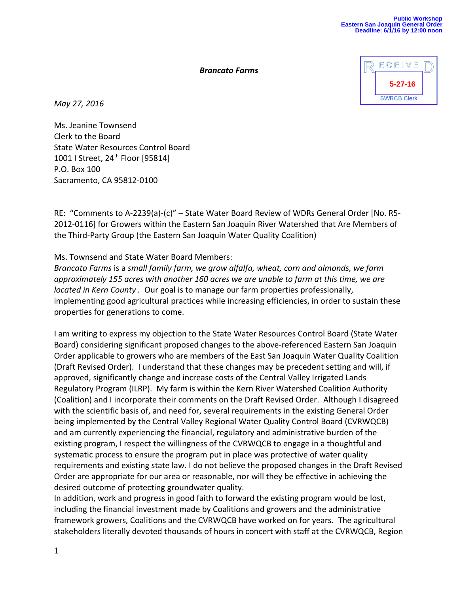## *Brancato Farms*



*May 27, 2016*

Ms. Jeanine Townsend Clerk to the Board State Water Resources Control Board 1001 I Street, 24<sup>th</sup> Floor [95814] P.O. Box 100 Sacramento, CA 95812-0100

RE: "Comments to A-2239(a)-(c)" – State Water Board Review of WDRs General Order [No. R5- 2012-0116] for Growers within the Eastern San Joaquin River Watershed that Are Members of the Third-Party Group (the Eastern San Joaquin Water Quality Coalition)

## Ms. Townsend and State Water Board Members:

*Brancato Farms* is a *small family farm, we grow alfalfa, wheat, corn and almonds, we farm approximately 155 acres with another 160 acres we are unable to farm at this time, we are located in Kern County .* Our goal is to manage our farm properties professionally, implementing good agricultural practices while increasing efficiencies, in order to sustain these properties for generations to come.

I am writing to express my objection to the State Water Resources Control Board (State Water Board) considering significant proposed changes to the above-referenced Eastern San Joaquin Order applicable to growers who are members of the East San Joaquin Water Quality Coalition (Draft Revised Order). I understand that these changes may be precedent setting and will, if approved, significantly change and increase costs of the Central Valley Irrigated Lands Regulatory Program (ILRP). My farm is within the Kern River Watershed Coalition Authority (Coalition) and I incorporate their comments on the Draft Revised Order. Although I disagreed with the scientific basis of, and need for, several requirements in the existing General Order being implemented by the Central Valley Regional Water Quality Control Board (CVRWQCB) and am currently experiencing the financial, regulatory and administrative burden of the existing program, I respect the willingness of the CVRWQCB to engage in a thoughtful and systematic process to ensure the program put in place was protective of water quality requirements and existing state law. I do not believe the proposed changes in the Draft Revised Order are appropriate for our area or reasonable, nor will they be effective in achieving the desired outcome of protecting groundwater quality.

In addition, work and progress in good faith to forward the existing program would be lost, including the financial investment made by Coalitions and growers and the administrative framework growers, Coalitions and the CVRWQCB have worked on for years. The agricultural stakeholders literally devoted thousands of hours in concert with staff at the CVRWQCB, Region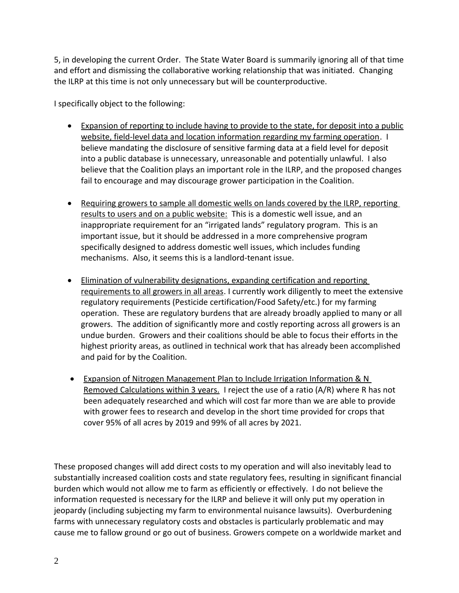5, in developing the current Order. The State Water Board is summarily ignoring all of that time and effort and dismissing the collaborative working relationship that was initiated. Changing the ILRP at this time is not only unnecessary but will be counterproductive.

I specifically object to the following:

- Expansion of reporting to include having to provide to the state, for deposit into a public website, field-level data and location information regarding my farming operation. I believe mandating the disclosure of sensitive farming data at a field level for deposit into a public database is unnecessary, unreasonable and potentially unlawful. I also believe that the Coalition plays an important role in the ILRP, and the proposed changes fail to encourage and may discourage grower participation in the Coalition.
- Requiring growers to sample all domestic wells on lands covered by the ILRP, reporting results to users and on a public website:This is a domestic well issue, and an inappropriate requirement for an "irrigated lands" regulatory program. This is an important issue, but it should be addressed in a more comprehensive program specifically designed to address domestic well issues, which includes funding mechanisms. Also, it seems this is a landlord-tenant issue.
- Elimination of vulnerability designations, expanding certification and reporting requirements to all growers in all areas. I currently work diligently to meet the extensive regulatory requirements (Pesticide certification/Food Safety/etc.) for my farming operation. These are regulatory burdens that are already broadly applied to many or all growers. The addition of significantly more and costly reporting across all growers is an undue burden. Growers and their coalitions should be able to focus their efforts in the highest priority areas, as outlined in technical work that has already been accomplished and paid for by the Coalition.
- **Expansion of Nitrogen Management Plan to Include Irrigation Information & N** Removed Calculations within 3 years. I reject the use of a ratio (A/R) where R has not been adequately researched and which will cost far more than we are able to provide with grower fees to research and develop in the short time provided for crops that cover 95% of all acres by 2019 and 99% of all acres by 2021.

These proposed changes will add direct costs to my operation and will also inevitably lead to substantially increased coalition costs and state regulatory fees, resulting in significant financial burden which would not allow me to farm as efficiently or effectively. I do not believe the information requested is necessary for the ILRP and believe it will only put my operation in jeopardy (including subjecting my farm to environmental nuisance lawsuits). Overburdening farms with unnecessary regulatory costs and obstacles is particularly problematic and may cause me to fallow ground or go out of business. Growers compete on a worldwide market and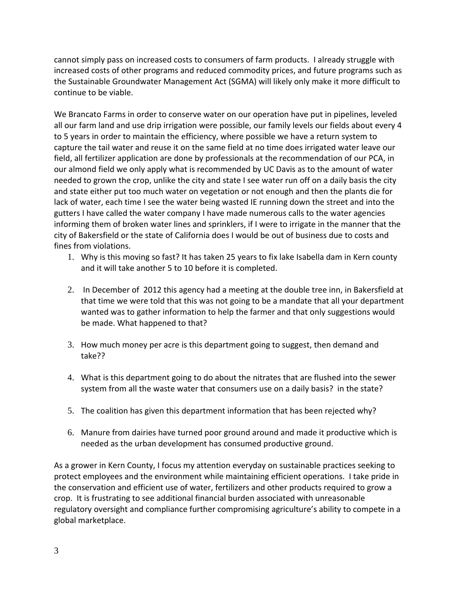cannot simply pass on increased costs to consumers of farm products. I already struggle with increased costs of other programs and reduced commodity prices, and future programs such as the Sustainable Groundwater Management Act (SGMA) will likely only make it more difficult to continue to be viable.

We Brancato Farms in order to conserve water on our operation have put in pipelines, leveled all our farm land and use drip irrigation were possible, our family levels our fields about every 4 to 5 years in order to maintain the efficiency, where possible we have a return system to capture the tail water and reuse it on the same field at no time does irrigated water leave our field, all fertilizer application are done by professionals at the recommendation of our PCA, in our almond field we only apply what is recommended by UC Davis as to the amount of water needed to grown the crop, unlike the city and state I see water run off on a daily basis the city and state either put too much water on vegetation or not enough and then the plants die for lack of water, each time I see the water being wasted IE running down the street and into the gutters I have called the water company I have made numerous calls to the water agencies informing them of broken water lines and sprinklers, if I were to irrigate in the manner that the city of Bakersfield or the state of California does I would be out of business due to costs and fines from violations.

- 1. Why is this moving so fast? It has taken 25 years to fix lake Isabella dam in Kern county and it will take another 5 to 10 before it is completed.
- 2. In December of 2012 this agency had a meeting at the double tree inn, in Bakersfield at that time we were told that this was not going to be a mandate that all your department wanted was to gather information to help the farmer and that only suggestions would be made. What happened to that?
- 3. How much money per acre is this department going to suggest, then demand and take??
- 4. What is this department going to do about the nitrates that are flushed into the sewer system from all the waste water that consumers use on a daily basis? in the state?
- 5. The coalition has given this department information that has been rejected why?
- 6. Manure from dairies have turned poor ground around and made it productive which is needed as the urban development has consumed productive ground.

As a grower in Kern County, I focus my attention everyday on sustainable practices seeking to protect employees and the environment while maintaining efficient operations. I take pride in the conservation and efficient use of water, fertilizers and other products required to grow a crop. It is frustrating to see additional financial burden associated with unreasonable regulatory oversight and compliance further compromising agriculture's ability to compete in a global marketplace.